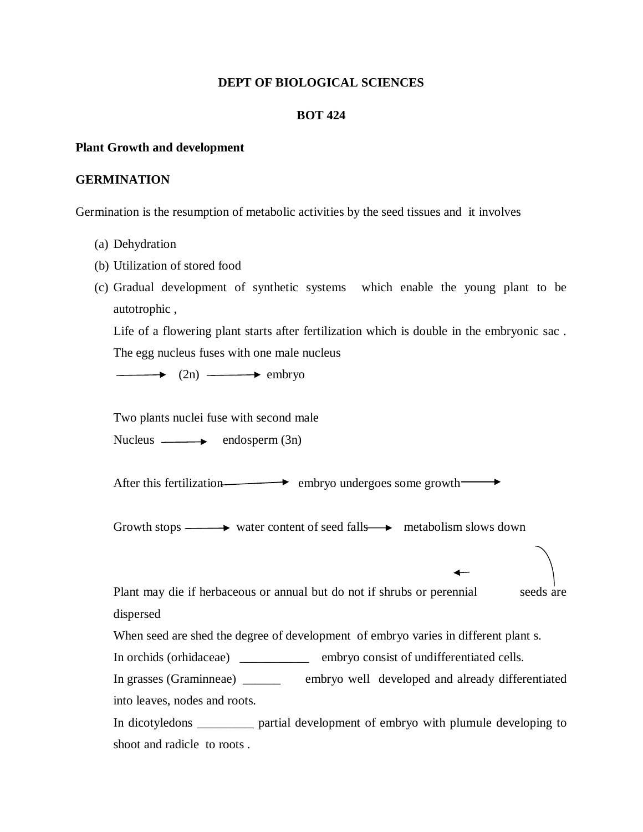#### **DEPT OF BIOLOGICAL SCIENCES**

### **BOT 424**

#### **Plant Growth and development**

### **GERMINATION**

Germination is the resumption of metabolic activities by the seed tissues and it involves

- (a) Dehydration
- (b) Utilization of stored food
- (c) Gradual development of synthetic systems which enable the young plant to be autotrophic ,

Life of a flowering plant starts after fertilization which is double in the embryonic sac . The egg nucleus fuses with one male nucleus

 $\rightarrow$  (2n)  $\rightarrow$  embryo

Two plants nuclei fuse with second male

Nucleus  $\longrightarrow$  endosperm  $(3n)$ 

After this fertilization embryo undergoes some growth  $\longrightarrow$ 

Growth stops  $\longrightarrow$  water content of seed falls  $\longrightarrow$  metabolism slows down

Plant may die if herbaceous or annual but do not if shrubs or perennial seeds are dispersed

When seed are shed the degree of development of embryo varies in different plant s.

In orchids (orhidaceae) \_\_\_\_\_\_\_\_\_\_\_ embryo consist of undifferentiated cells.

In grasses (Graminneae) \_\_\_\_\_\_ embryo well developed and already differentiated into leaves, nodes and roots.

In dicotyledons \_\_\_\_\_\_\_\_\_ partial development of embryo with plumule developing to shoot and radicle to roots .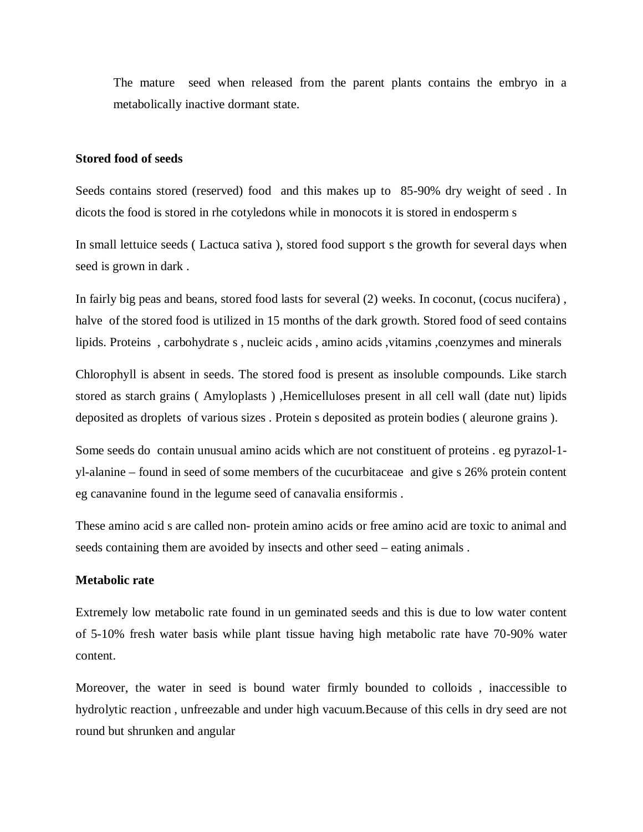The mature seed when released from the parent plants contains the embryo in a metabolically inactive dormant state.

#### **Stored food of seeds**

Seeds contains stored (reserved) food and this makes up to 85-90% dry weight of seed . In dicots the food is stored in rhe cotyledons while in monocots it is stored in endosperm s

In small lettuice seeds ( Lactuca sativa ), stored food support s the growth for several days when seed is grown in dark .

In fairly big peas and beans, stored food lasts for several (2) weeks. In coconut, (cocus nucifera) , halve of the stored food is utilized in 15 months of the dark growth. Stored food of seed contains lipids. Proteins, carbohydrate s, nucleic acids, amino acids, vitamins, coenzymes and minerals

Chlorophyll is absent in seeds. The stored food is present as insoluble compounds. Like starch stored as starch grains ( Amyloplasts ) ,Hemicelluloses present in all cell wall (date nut) lipids deposited as droplets of various sizes . Protein s deposited as protein bodies ( aleurone grains ).

Some seeds do contain unusual amino acids which are not constituent of proteins . eg pyrazol-1 yl-alanine – found in seed of some members of the cucurbitaceae and give s 26% protein content eg canavanine found in the legume seed of canavalia ensiformis .

These amino acid s are called non- protein amino acids or free amino acid are toxic to animal and seeds containing them are avoided by insects and other seed – eating animals .

#### **Metabolic rate**

Extremely low metabolic rate found in un geminated seeds and this is due to low water content of 5-10% fresh water basis while plant tissue having high metabolic rate have 70-90% water content.

Moreover, the water in seed is bound water firmly bounded to colloids , inaccessible to hydrolytic reaction , unfreezable and under high vacuum.Because of this cells in dry seed are not round but shrunken and angular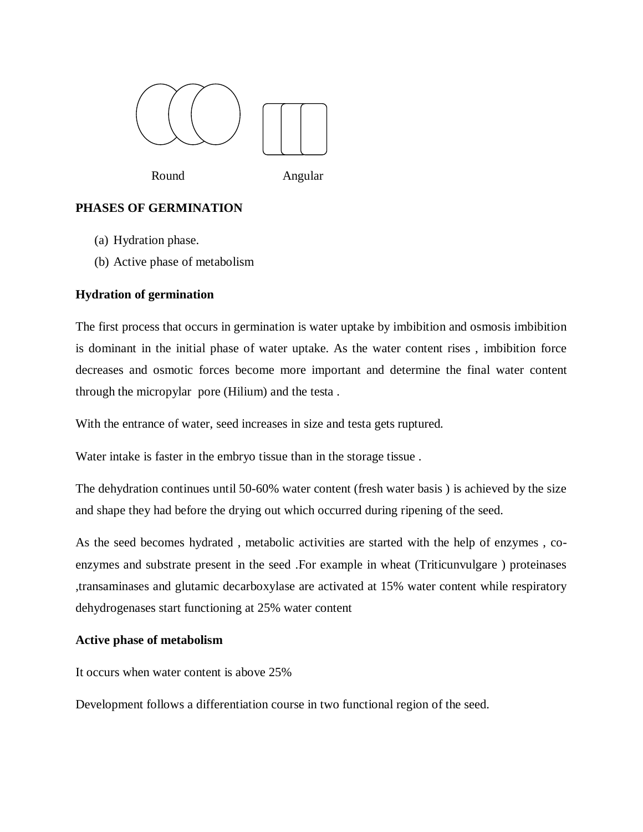

Round Angular

# **PHASES OF GERMINATION**

- (a) Hydration phase.
- (b) Active phase of metabolism

# **Hydration of germination**

The first process that occurs in germination is water uptake by imbibition and osmosis imbibition is dominant in the initial phase of water uptake. As the water content rises , imbibition force decreases and osmotic forces become more important and determine the final water content through the micropylar pore (Hilium) and the testa .

With the entrance of water, seed increases in size and testa gets ruptured.

Water intake is faster in the embryo tissue than in the storage tissue .

The dehydration continues until 50-60% water content (fresh water basis ) is achieved by the size and shape they had before the drying out which occurred during ripening of the seed.

As the seed becomes hydrated , metabolic activities are started with the help of enzymes , coenzymes and substrate present in the seed .For example in wheat (Triticunvulgare ) proteinases ,transaminases and glutamic decarboxylase are activated at 15% water content while respiratory dehydrogenases start functioning at 25% water content

## **Active phase of metabolism**

It occurs when water content is above 25%

Development follows a differentiation course in two functional region of the seed.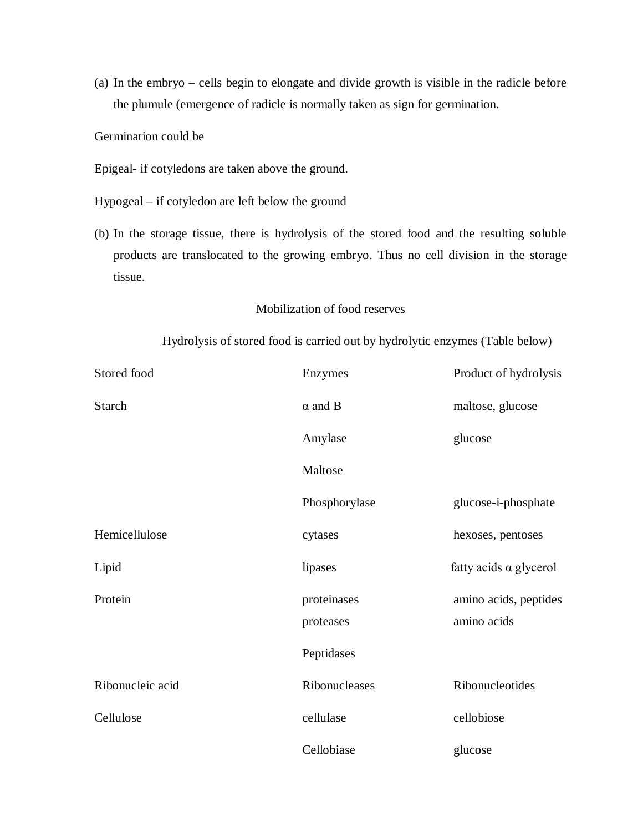(a) In the embryo – cells begin to elongate and divide growth is visible in the radicle before the plumule (emergence of radicle is normally taken as sign for germination.

Germination could be

- Epigeal- if cotyledons are taken above the ground.
- Hypogeal if cotyledon are left below the ground
- (b) In the storage tissue, there is hydrolysis of the stored food and the resulting soluble products are translocated to the growing embryo. Thus no cell division in the storage tissue.

## Mobilization of food reserves

## Hydrolysis of stored food is carried out by hydrolytic enzymes (Table below)

| Stored food      | Enzymes                  | Product of hydrolysis                |
|------------------|--------------------------|--------------------------------------|
| <b>Starch</b>    | $\alpha$ and B           | maltose, glucose                     |
|                  | Amylase                  | glucose                              |
|                  | Maltose                  |                                      |
|                  | Phosphorylase            | glucose-i-phosphate                  |
| Hemicellulose    | cytases                  | hexoses, pentoses                    |
| Lipid            | lipases                  | fatty acids $\alpha$ glycerol        |
| Protein          | proteinases<br>proteases | amino acids, peptides<br>amino acids |
|                  | Peptidases               |                                      |
| Ribonucleic acid | Ribonucleases            | Ribonucleotides                      |
| Cellulose        | cellulase                | cellobiose                           |
|                  | Cellobiase               | glucose                              |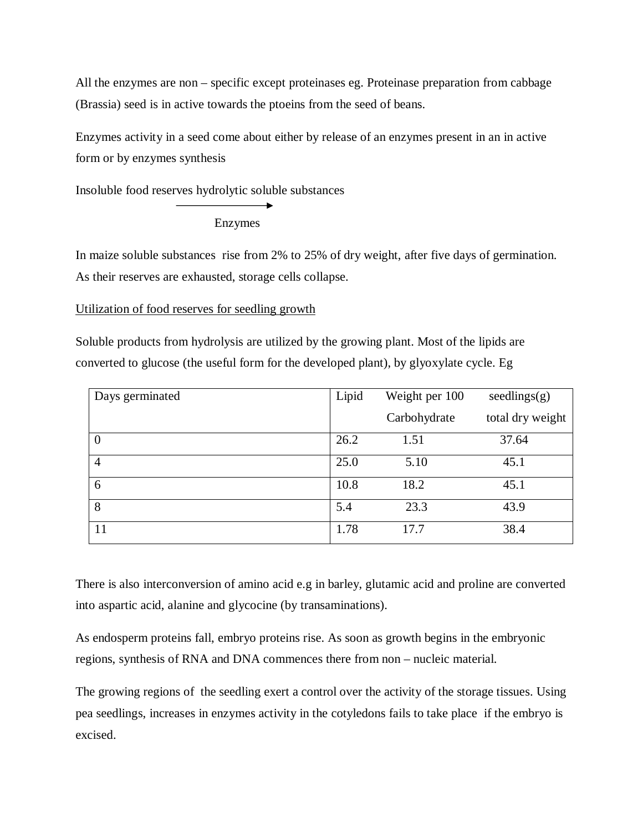All the enzymes are non – specific except proteinases eg. Proteinase preparation from cabbage (Brassia) seed is in active towards the ptoeins from the seed of beans.

Enzymes activity in a seed come about either by release of an enzymes present in an in active form or by enzymes synthesis

Insoluble food reserves hydrolytic soluble substances

# Enzymes

In maize soluble substances rise from 2% to 25% of dry weight, after five days of germination. As their reserves are exhausted, storage cells collapse.

## Utilization of food reserves for seedling growth

Soluble products from hydrolysis are utilized by the growing plant. Most of the lipids are converted to glucose (the useful form for the developed plant), by glyoxylate cycle. Eg

| Days germinated | Lipid | Weight per 100 | seedlings(g)     |
|-----------------|-------|----------------|------------------|
|                 |       | Carbohydrate   | total dry weight |
|                 | 26.2  | 1.51           | 37.64            |
| 4               | 25.0  | 5.10           | 45.1             |
| 6               | 10.8  | 18.2           | 45.1             |
| 8               | 5.4   | 23.3           | 43.9             |
| 11              | 1.78  | 17.7           | 38.4             |

There is also interconversion of amino acid e.g in barley, glutamic acid and proline are converted into aspartic acid, alanine and glycocine (by transaminations).

As endosperm proteins fall, embryo proteins rise. As soon as growth begins in the embryonic regions, synthesis of RNA and DNA commences there from non – nucleic material.

The growing regions of the seedling exert a control over the activity of the storage tissues. Using pea seedlings, increases in enzymes activity in the cotyledons fails to take place if the embryo is excised.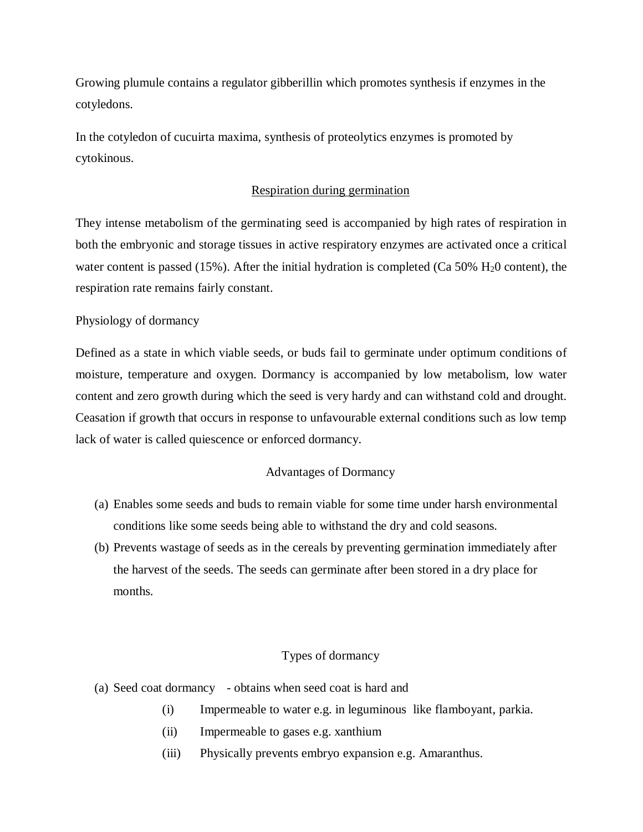Growing plumule contains a regulator gibberillin which promotes synthesis if enzymes in the cotyledons.

In the cotyledon of cucuirta maxima, synthesis of proteolytics enzymes is promoted by cytokinous.

### Respiration during germination

They intense metabolism of the germinating seed is accompanied by high rates of respiration in both the embryonic and storage tissues in active respiratory enzymes are activated once a critical water content is passed (15%). After the initial hydration is completed (Ca  $50\%$  H<sub>2</sub>0 content), the respiration rate remains fairly constant.

#### Physiology of dormancy

Defined as a state in which viable seeds, or buds fail to germinate under optimum conditions of moisture, temperature and oxygen. Dormancy is accompanied by low metabolism, low water content and zero growth during which the seed is very hardy and can withstand cold and drought. Ceasation if growth that occurs in response to unfavourable external conditions such as low temp lack of water is called quiescence or enforced dormancy.

#### Advantages of Dormancy

- (a) Enables some seeds and buds to remain viable for some time under harsh environmental conditions like some seeds being able to withstand the dry and cold seasons.
- (b) Prevents wastage of seeds as in the cereals by preventing germination immediately after the harvest of the seeds. The seeds can germinate after been stored in a dry place for months.

## Types of dormancy

- (a) Seed coat dormancy obtains when seed coat is hard and
	- (i) Impermeable to water e.g. in leguminous like flamboyant, parkia.
	- (ii) Impermeable to gases e.g. xanthium
	- (iii) Physically prevents embryo expansion e.g. Amaranthus.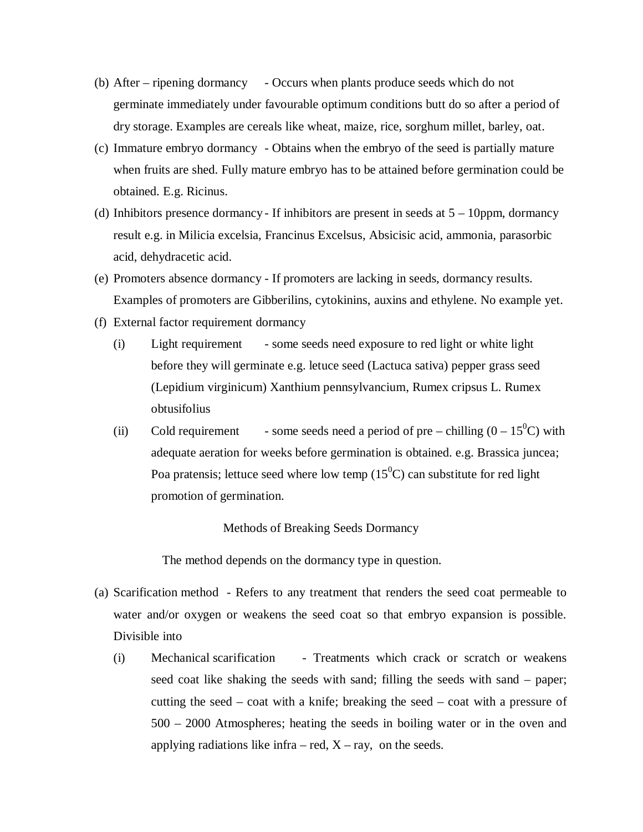- (b) After ripening dormancy Occurs when plants produce seeds which do not germinate immediately under favourable optimum conditions butt do so after a period of dry storage. Examples are cereals like wheat, maize, rice, sorghum millet, barley, oat.
- (c) Immature embryo dormancy Obtains when the embryo of the seed is partially mature when fruits are shed. Fully mature embryo has to be attained before germination could be obtained. E.g. Ricinus.
- (d) Inhibitors presence dormancy If inhibitors are present in seeds at  $5 10$ ppm, dormancy result e.g. in Milicia excelsia, Francinus Excelsus, Absicisic acid, ammonia, parasorbic acid, dehydracetic acid.
- (e) Promoters absence dormancy If promoters are lacking in seeds, dormancy results. Examples of promoters are Gibberilins, cytokinins, auxins and ethylene. No example yet.
- (f) External factor requirement dormancy
	- (i) Light requirement some seeds need exposure to red light or white light before they will germinate e.g. letuce seed (Lactuca sativa) pepper grass seed (Lepidium virginicum) Xanthium pennsylvancium, Rumex cripsus L. Rumex obtusifolius
	- (ii) Cold requirement some seeds need a period of pre chilling  $(0 15^0C)$  with adequate aeration for weeks before germination is obtained. e.g. Brassica juncea; Poa pratensis; lettuce seed where low temp  $(15^0C)$  can substitute for red light promotion of germination.

Methods of Breaking Seeds Dormancy

The method depends on the dormancy type in question.

- (a) Scarification method Refers to any treatment that renders the seed coat permeable to water and/or oxygen or weakens the seed coat so that embryo expansion is possible. Divisible into
	- (i) Mechanical scarification Treatments which crack or scratch or weakens seed coat like shaking the seeds with sand; filling the seeds with sand – paper; cutting the seed – coat with a knife; breaking the seed – coat with a pressure of 500 – 2000 Atmospheres; heating the seeds in boiling water or in the oven and applying radiations like infra – red,  $X - ray$ , on the seeds.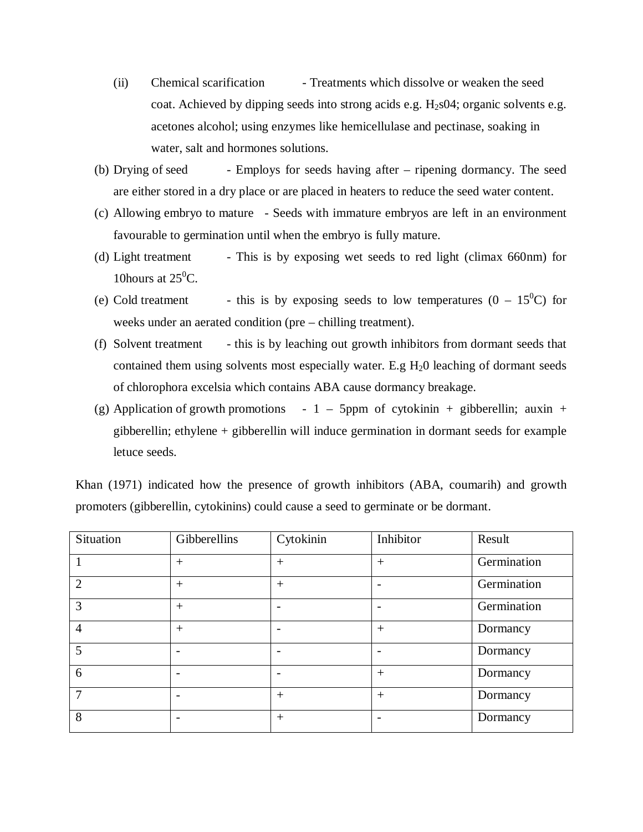- (ii) Chemical scarification Treatments which dissolve or weaken the seed coat. Achieved by dipping seeds into strong acids e.g.  $H<sub>2</sub>$ s04; organic solvents e.g. acetones alcohol; using enzymes like hemicellulase and pectinase, soaking in water, salt and hormones solutions.
- (b) Drying of seed Employs for seeds having after ripening dormancy. The seed are either stored in a dry place or are placed in heaters to reduce the seed water content.
- (c) Allowing embryo to mature Seeds with immature embryos are left in an environment favourable to germination until when the embryo is fully mature.
- (d) Light treatment This is by exposing wet seeds to red light (climax 660nm) for 10 hours at  $25^0C$ .
- (e) Cold treatment this is by exposing seeds to low temperatures  $(0 15^0C)$  for weeks under an aerated condition (pre – chilling treatment).
- (f) Solvent treatment this is by leaching out growth inhibitors from dormant seeds that contained them using solvents most especially water. E.g  $H_2O$  leaching of dormant seeds of chlorophora excelsia which contains ABA cause dormancy breakage.
- (g) Application of growth promotions  $-1 5$ ppm of cytokinin + gibberellin; auxin + gibberellin; ethylene + gibberellin will induce germination in dormant seeds for example letuce seeds.

Khan (1971) indicated how the presence of growth inhibitors (ABA, coumarih) and growth promoters (gibberellin, cytokinins) could cause a seed to germinate or be dormant.

| Situation      | Gibberellins | Cytokinin | Inhibitor                | Result      |
|----------------|--------------|-----------|--------------------------|-------------|
|                | $+$          | $^{+}$    | $+$                      | Germination |
| $\overline{2}$ | $+$          | $^{+}$    |                          | Germination |
| 3              | $+$          |           | $\overline{\phantom{0}}$ | Germination |
| $\overline{4}$ | $^{+}$       |           | $^{+}$                   | Dormancy    |
| 5              |              |           |                          | Dormancy    |
| 6              |              |           | $+$                      | Dormancy    |
| 7              |              | $^{+}$    | $+$                      | Dormancy    |
| 8              |              | $^{+}$    |                          | Dormancy    |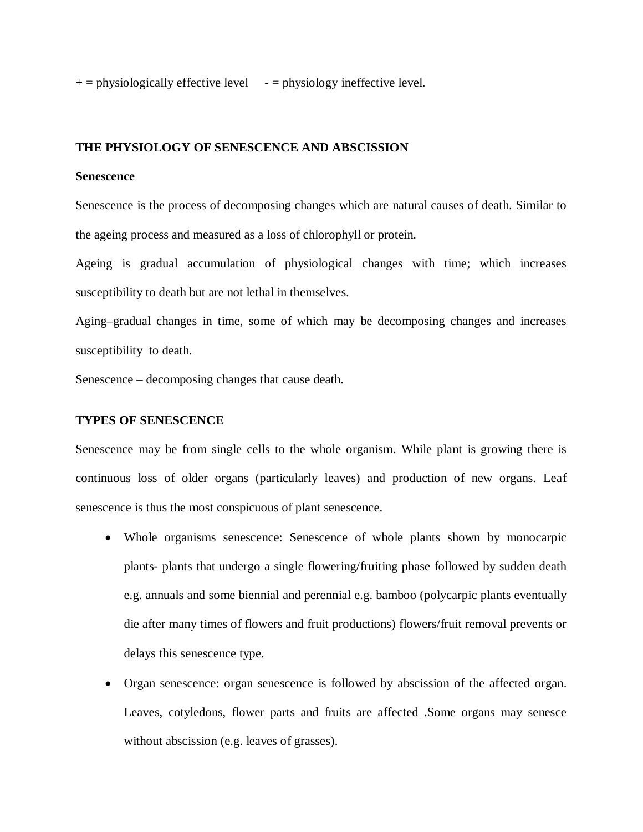$+=$  physiologically effective level  $-$  = physiology ineffective level.

#### **THE PHYSIOLOGY OF SENESCENCE AND ABSCISSION**

#### **Senescence**

Senescence is the process of decomposing changes which are natural causes of death. Similar to the ageing process and measured as a loss of chlorophyll or protein.

Ageing is gradual accumulation of physiological changes with time; which increases susceptibility to death but are not lethal in themselves.

Aging–gradual changes in time, some of which may be decomposing changes and increases susceptibility to death.

Senescence – decomposing changes that cause death.

#### **TYPES OF SENESCENCE**

Senescence may be from single cells to the whole organism. While plant is growing there is continuous loss of older organs (particularly leaves) and production of new organs. Leaf senescence is thus the most conspicuous of plant senescence.

- Whole organisms senescence: Senescence of whole plants shown by monocarpic plants- plants that undergo a single flowering/fruiting phase followed by sudden death e.g. annuals and some biennial and perennial e.g. bamboo (polycarpic plants eventually die after many times of flowers and fruit productions) flowers/fruit removal prevents or delays this senescence type.
- Organ senescence: organ senescence is followed by abscission of the affected organ. Leaves, cotyledons, flower parts and fruits are affected .Some organs may senesce without abscission (e.g. leaves of grasses).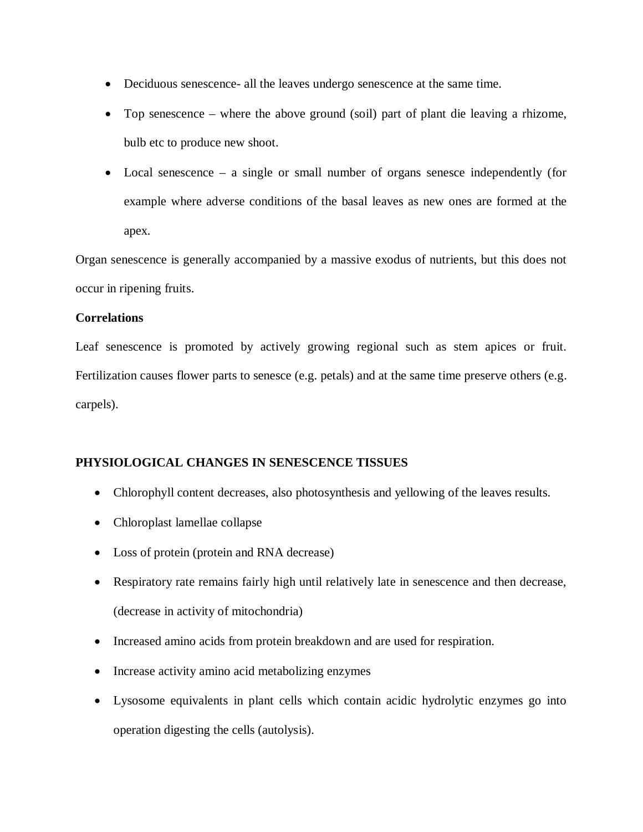- Deciduous senescence- all the leaves undergo senescence at the same time.
- Top senescence where the above ground (soil) part of plant die leaving a rhizome, bulb etc to produce new shoot.
- Local senescence a single or small number of organs senesce independently (for example where adverse conditions of the basal leaves as new ones are formed at the apex.

Organ senescence is generally accompanied by a massive exodus of nutrients, but this does not occur in ripening fruits.

## **Correlations**

Leaf senescence is promoted by actively growing regional such as stem apices or fruit. Fertilization causes flower parts to senesce (e.g. petals) and at the same time preserve others (e.g. carpels).

# **PHYSIOLOGICAL CHANGES IN SENESCENCE TISSUES**

- Chlorophyll content decreases, also photosynthesis and yellowing of the leaves results.
- Chloroplast lamellae collapse
- Loss of protein (protein and RNA decrease)
- Respiratory rate remains fairly high until relatively late in senescence and then decrease, (decrease in activity of mitochondria)
- Increased amino acids from protein breakdown and are used for respiration.
- Increase activity amino acid metabolizing enzymes
- Lysosome equivalents in plant cells which contain acidic hydrolytic enzymes go into operation digesting the cells (autolysis).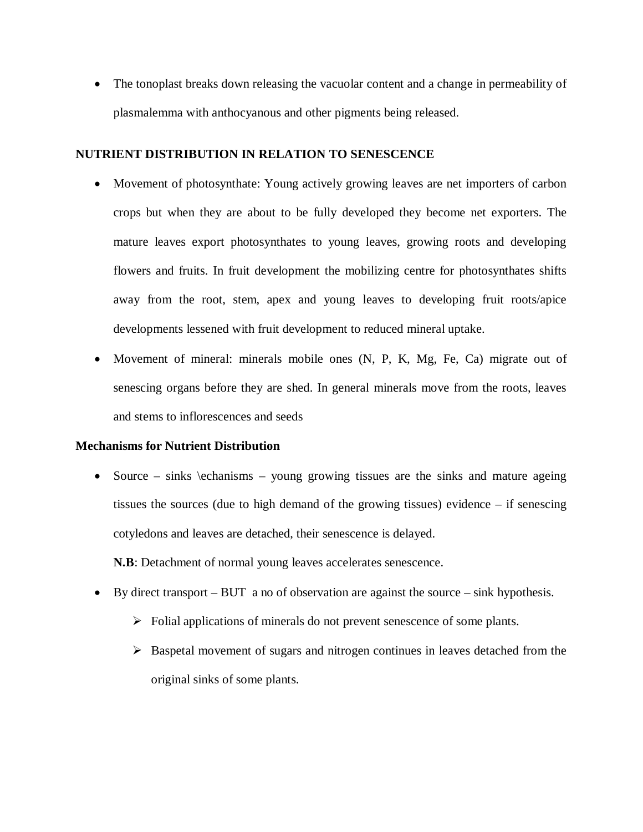The tonoplast breaks down releasing the vacuolar content and a change in permeability of plasmalemma with anthocyanous and other pigments being released.

## **NUTRIENT DISTRIBUTION IN RELATION TO SENESCENCE**

- Movement of photosynthate: Young actively growing leaves are net importers of carbon crops but when they are about to be fully developed they become net exporters. The mature leaves export photosynthates to young leaves, growing roots and developing flowers and fruits. In fruit development the mobilizing centre for photosynthates shifts away from the root, stem, apex and young leaves to developing fruit roots/apice developments lessened with fruit development to reduced mineral uptake.
- Movement of mineral: minerals mobile ones (N, P, K, Mg, Fe, Ca) migrate out of senescing organs before they are shed. In general minerals move from the roots, leaves and stems to inflorescences and seeds

## **Mechanisms for Nutrient Distribution**

• Source – sinks  $\text{echanisms}$  – young growing tissues are the sinks and mature ageing tissues the sources (due to high demand of the growing tissues) evidence – if senescing cotyledons and leaves are detached, their senescence is delayed.

**N.B**: Detachment of normal young leaves accelerates senescence.

- $\bullet$  By direct transport BUT a no of observation are against the source sink hypothesis.
	- $\triangleright$  Folial applications of minerals do not prevent senescence of some plants.
	- $\triangleright$  Baspetal movement of sugars and nitrogen continues in leaves detached from the original sinks of some plants.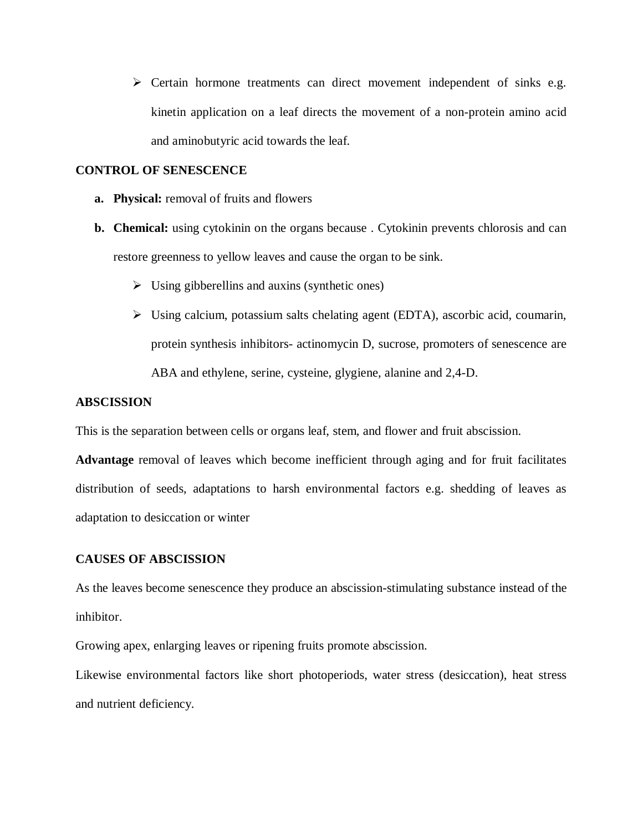$\triangleright$  Certain hormone treatments can direct movement independent of sinks e.g. kinetin application on a leaf directs the movement of a non-protein amino acid and aminobutyric acid towards the leaf.

### **CONTROL OF SENESCENCE**

- **a. Physical:** removal of fruits and flowers
- **b. Chemical:** using cytokinin on the organs because . Cytokinin prevents chlorosis and can restore greenness to yellow leaves and cause the organ to be sink.
	- $\triangleright$  Using gibberellins and auxins (synthetic ones)
	- Using calcium, potassium salts chelating agent (EDTA), ascorbic acid, coumarin, protein synthesis inhibitors- actinomycin D, sucrose, promoters of senescence are ABA and ethylene, serine, cysteine, glygiene, alanine and 2,4-D.

## **ABSCISSION**

This is the separation between cells or organs leaf, stem, and flower and fruit abscission.

**Advantage** removal of leaves which become inefficient through aging and for fruit facilitates distribution of seeds, adaptations to harsh environmental factors e.g. shedding of leaves as adaptation to desiccation or winter

## **CAUSES OF ABSCISSION**

As the leaves become senescence they produce an abscission-stimulating substance instead of the inhibitor.

Growing apex, enlarging leaves or ripening fruits promote abscission.

Likewise environmental factors like short photoperiods, water stress (desiccation), heat stress and nutrient deficiency.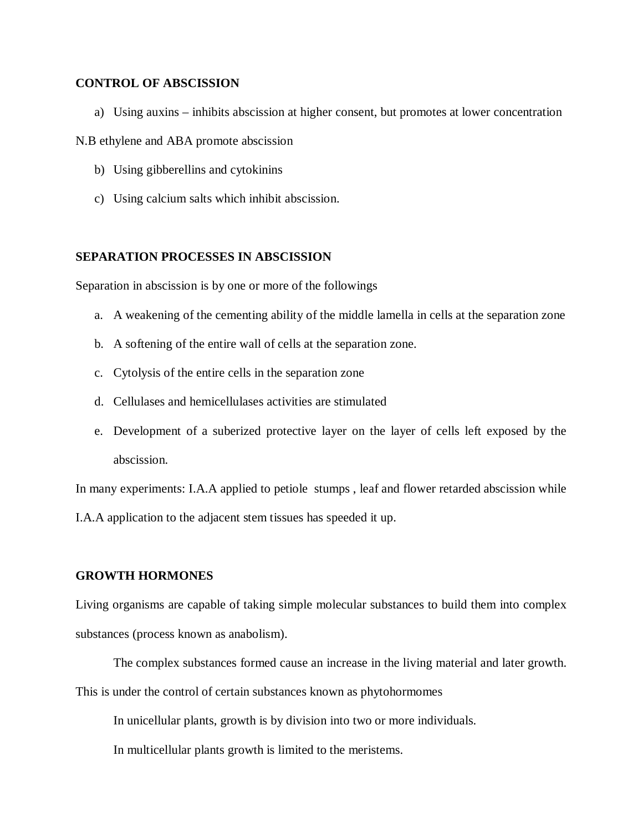### **CONTROL OF ABSCISSION**

a) Using auxins – inhibits abscission at higher consent, but promotes at lower concentration

#### N.B ethylene and ABA promote abscission

- b) Using gibberellins and cytokinins
- c) Using calcium salts which inhibit abscission.

## **SEPARATION PROCESSES IN ABSCISSION**

Separation in abscission is by one or more of the followings

- a. A weakening of the cementing ability of the middle lamella in cells at the separation zone
- b. A softening of the entire wall of cells at the separation zone.
- c. Cytolysis of the entire cells in the separation zone
- d. Cellulases and hemicellulases activities are stimulated
- e. Development of a suberized protective layer on the layer of cells left exposed by the abscission.

In many experiments: I.A.A applied to petiole stumps , leaf and flower retarded abscission while

I.A.A application to the adjacent stem tissues has speeded it up.

#### **GROWTH HORMONES**

Living organisms are capable of taking simple molecular substances to build them into complex substances (process known as anabolism).

The complex substances formed cause an increase in the living material and later growth.

This is under the control of certain substances known as phytohormomes

In unicellular plants, growth is by division into two or more individuals.

In multicellular plants growth is limited to the meristems.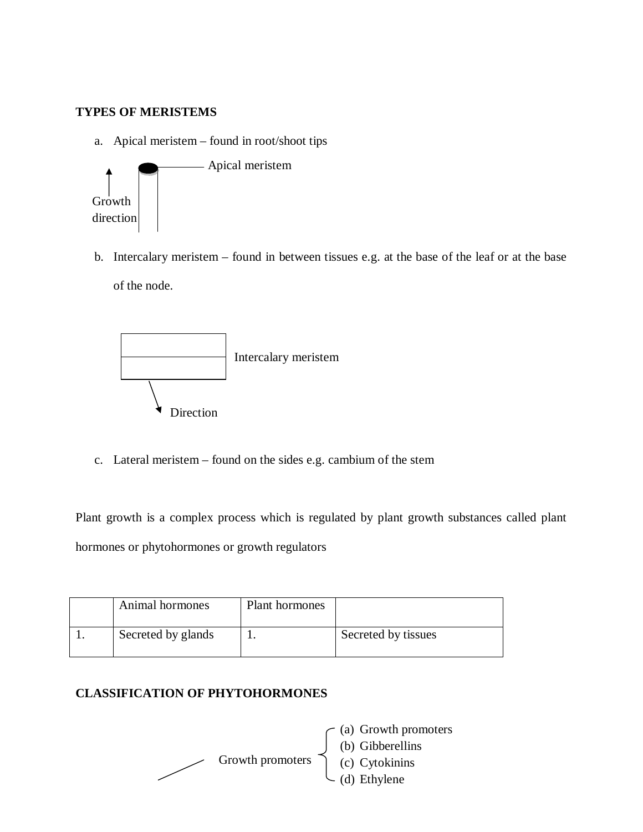## **TYPES OF MERISTEMS**

a. Apical meristem – found in root/shoot tips



b. Intercalary meristem – found in between tissues e.g. at the base of the leaf or at the base of the node.



c. Lateral meristem – found on the sides e.g. cambium of the stem

Plant growth is a complex process which is regulated by plant growth substances called plant hormones or phytohormones or growth regulators

| Animal hormones    | Plant hormones |                     |
|--------------------|----------------|---------------------|
| Secreted by glands |                | Secreted by tissues |

# **CLASSIFICATION OF PHYTOHORMONES**



- (a) Growth promoters
- (b) Gibberellins
- (c) Cytokinins
- (d) Ethylene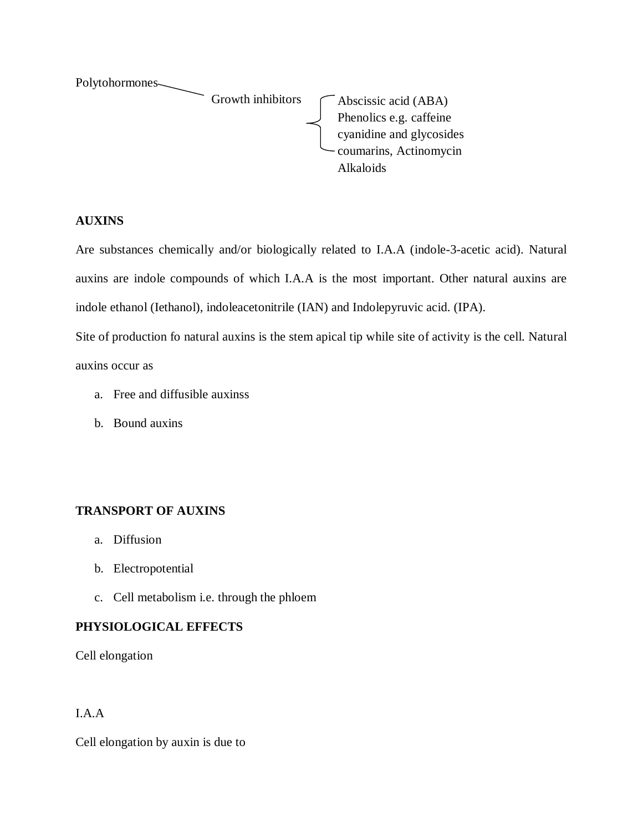

## **AUXINS**

Are substances chemically and/or biologically related to I.A.A (indole-3-acetic acid). Natural auxins are indole compounds of which I.A.A is the most important. Other natural auxins are indole ethanol (Iethanol), indoleacetonitrile (IAN) and Indolepyruvic acid. (IPA).

Site of production fo natural auxins is the stem apical tip while site of activity is the cell. Natural auxins occur as

- a. Free and diffusible auxinss
- b. Bound auxins

# **TRANSPORT OF AUXINS**

- a. Diffusion
- b. Electropotential
- c. Cell metabolism i.e. through the phloem

# **PHYSIOLOGICAL EFFECTS**

Cell elongation

# I.A.A

Cell elongation by auxin is due to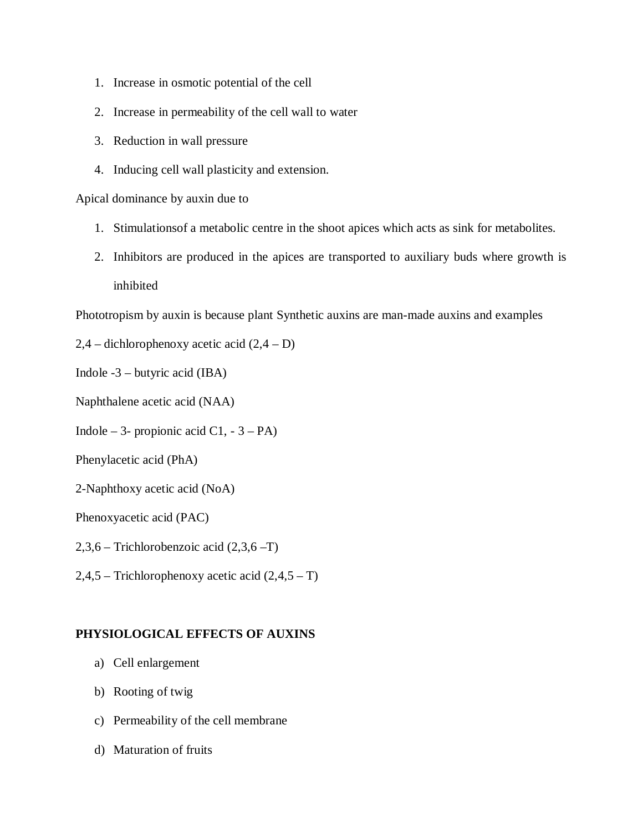- 1. Increase in osmotic potential of the cell
- 2. Increase in permeability of the cell wall to water
- 3. Reduction in wall pressure
- 4. Inducing cell wall plasticity and extension.

Apical dominance by auxin due to

- 1. Stimulationsof a metabolic centre in the shoot apices which acts as sink for metabolites.
- 2. Inhibitors are produced in the apices are transported to auxiliary buds where growth is inhibited

Phototropism by auxin is because plant Synthetic auxins are man-made auxins and examples

- $2,4$  dichlorophenoxy acetic acid  $(2,4 D)$
- Indole -3 butyric acid (IBA)
- Naphthalene acetic acid (NAA)
- Indole 3- propionic acid C1,  $-3 PA$ )
- Phenylacetic acid (PhA)
- 2-Naphthoxy acetic acid (NoA)

Phenoxyacetic acid (PAC)

- 2,3,6 Trichlorobenzoic acid (2,3,6 –T)
- $2,4,5$  Trichlorophenoxy acetic acid  $(2,4,5 T)$

## **PHYSIOLOGICAL EFFECTS OF AUXINS**

- a) Cell enlargement
- b) Rooting of twig
- c) Permeability of the cell membrane
- d) Maturation of fruits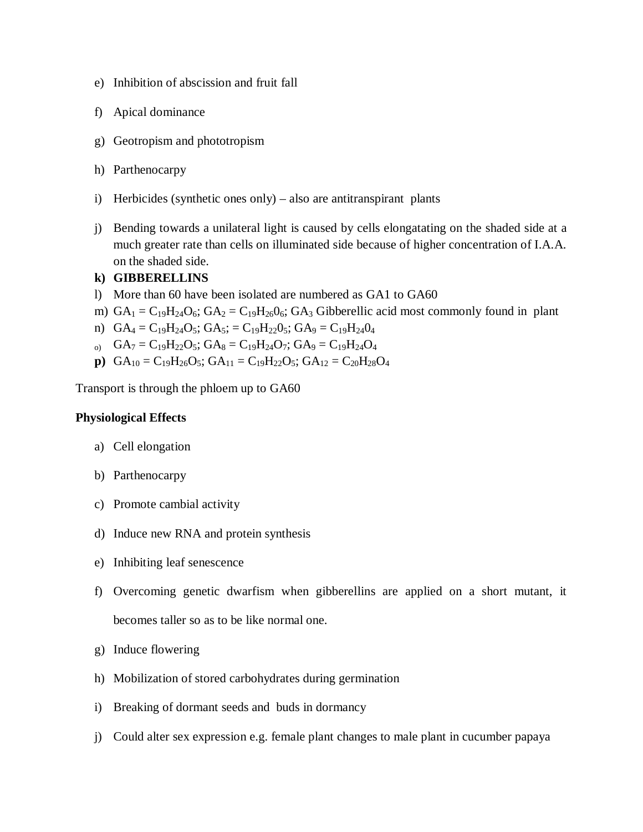- e) Inhibition of abscission and fruit fall
- f) Apical dominance
- g) Geotropism and phototropism
- h) Parthenocarpy
- i) Herbicides (synthetic ones only) also are antitranspirant plants
- j) Bending towards a unilateral light is caused by cells elongatating on the shaded side at a much greater rate than cells on illuminated side because of higher concentration of I.A.A. on the shaded side.

## **k) GIBBERELLINS**

- l) More than 60 have been isolated are numbered as GA1 to GA60
- m)  $GA_1 = C_{19}H_{24}O_6$ ;  $GA_2 = C_{19}H_{26}O_6$ ;  $GA_3$  Gibberellic acid most commonly found in plant
- n)  $GA_4 = C_{19}H_{24}O_5$ ;  $GA_5 = C_{19}H_{22}O_5$ ;  $GA_9 = C_{19}H_{24}O_4$
- $_{\text{o}}$  GA<sub>7</sub> = C<sub>19</sub>H<sub>22</sub>O<sub>5</sub>; GA<sub>8</sub> = C<sub>19</sub>H<sub>24</sub>O<sub>7</sub>; GA<sub>9</sub> = C<sub>19</sub>H<sub>24</sub>O<sub>4</sub>
- **p**)  $GA_{10} = C_{19}H_{26}O_5$ ;  $GA_{11} = C_{19}H_{22}O_5$ ;  $GA_{12} = C_{20}H_{28}O_4$

Transport is through the phloem up to GA60

## **Physiological Effects**

- a) Cell elongation
- b) Parthenocarpy
- c) Promote cambial activity
- d) Induce new RNA and protein synthesis
- e) Inhibiting leaf senescence
- f) Overcoming genetic dwarfism when gibberellins are applied on a short mutant, it becomes taller so as to be like normal one.
- g) Induce flowering
- h) Mobilization of stored carbohydrates during germination
- i) Breaking of dormant seeds and buds in dormancy
- j) Could alter sex expression e.g. female plant changes to male plant in cucumber papaya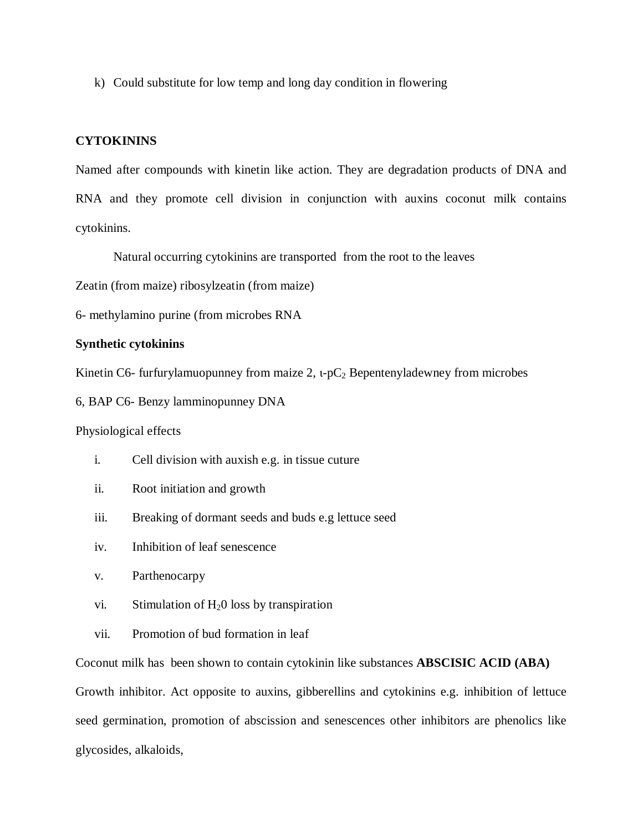k) Could substitute for low temp and long day condition in flowering

### **CYTOKININS**

Named after compounds with kinetin like action. They are degradation products of DNA and RNA and they promote cell division in conjunction with auxins coconut milk contains cytokinins.

Natural occurring cytokinins are transported from the root to the leaves

Zeatin (from maize) ribosylzeatin (from maize)

6- methylamino purine (from microbes RNA

#### **Synthetic cytokinins**

Kinetin C6- furfurylamuopunney from maize 2,  $\iota$ -pC<sub>2</sub> Bepentenyladewney from microbes

6, BAP C6- Benzy lamminopunney DNA

Physiological effects

- i. Cell division with auxish e.g. in tissue cuture
- ii. Root initiation and growth
- iii. Breaking of dormant seeds and buds e.g lettuce seed
- iv. Inhibition of leaf senescence
- v. Parthenocarpy
- vi. Stimulation of  $H<sub>2</sub>0$  loss by transpiration
- vii. Promotion of bud formation in leaf

Coconut milk has been shown to contain cytokinin like substances **ABSCISIC ACID (ABA)**

Growth inhibitor. Act opposite to auxins, gibberellins and cytokinins e.g. inhibition of lettuce seed germination, promotion of abscission and senescences other inhibitors are phenolics like glycosides, alkaloids,